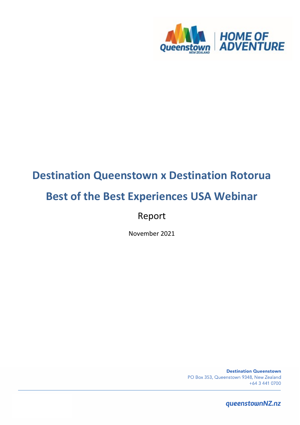

# **Destination Queenstown x Destination Rotorua**

## **Best of the Best Experiences USA Webinar**

### Report

November 2021

**Destination Queenstown** PO Box 353, Queenstown 9348, New Zealand +64 3 441 0700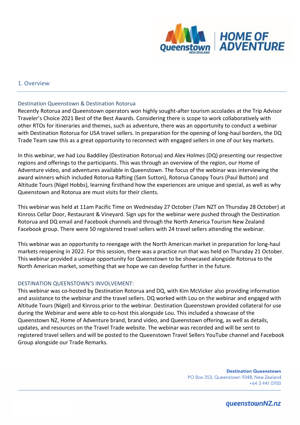

### 1. Overview

### Destination Queenstown & Destination Rotorua

Recently Rotorua and Queenstown operators won highly sought-after tourism accolades at the Trip Advisor Traveler's Choice 2021 Best of the Best Awards. Considering there is scope to work collaboratively with other RTOs for itineraries and themes, such as adventure, there was an opportunity to conduct a webinar with Destination Rotorua for USA travel sellers. In preparation for the opening of long-haul borders, the DQ Trade Team saw this as a great opportunity to reconnect with engaged sellers in one of our key markets.

In this webinar, we had Lou Baddiley (Destination Rotorua) and Alex Holmes (DQ) presenting our respective regions and offerings to the participants. This was through an overview of the region, our Home of Adventure video, and adventures available in Queenstown. The focus of the webinar was interviewing the award winners which included Rotorua Rafting (Sam Sutton), Rotorua Canopy Tours (Paul Button) and Altitude Tours (Nigel Hobbs), learning firsthand how the experiences are unique and special, as well as why Queenstown and Rotorua are must visits for their clients.

This webinar was held at 11am Pacific Time on Wednesday 27 October (7am NZT on Thursday 28 October) at Kinross Cellar Door, Restaurant & Vineyard. Sign ups for the webinar were pushed through the Destination Rotorua and DQ email and Facebook channels and through the North America Tourism New Zealand Facebook group. There were 50 registered travel sellers with 24 travel sellers attending the webinar.

This webinar was an opportunity to reengage with the North American market in preparation for long-haul markets reopening in 2022. For this session, there was a practice run that was held on Thursday 21 October. This webinar provided a unique opportunity for Queenstown to be showcased alongside Rotorua to the North American market, something that we hope we can develop further in the future.

#### DESTINATION QUEENSTOWN'S INVOLVEMENT:

This webinar was co-hosted by Destination Rotorua and DQ, with Kim McVicker also providing information and assistance to the webinar and the travel sellers. DQ worked with Lou on the webinar and engaged with Altitude Tours (Nigel) and Kinross prior to the webinar. Destination Queenstown provided collateral for use during the Webinar and were able to co-host this alongside Lou. This included a showcase of the Queenstown NZ, Home of Adventure brand, brand video, and Queenstown offering, as well as details, updates, and resources on the Travel Trade website. The webinar was recorded and will be sent to registered travel sellers and will be posted to the Queenstown Travel Sellers YouTube channel and Facebook Group alongside our Trade Remarks.

> **Destination Queenstown** PO Box 353, Queenstown 9348, New Zealand +64 3 441 0700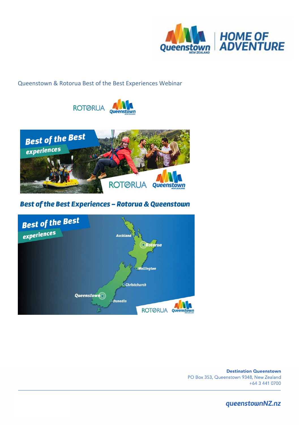

### Queenstown & Rotorua Best of the Best Experiences Webinar





### **Best of the Best Experiences - Rotorua & Queenstown**



**Destination Queenstown** PO Box 353, Queenstown 9348, New Zealand +64 3 441 0700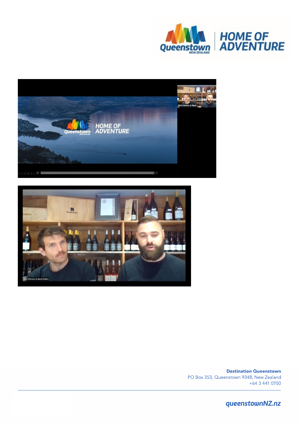





**Destination Queenstown** PO Box 353, Queenstown 9348, New Zealand +64 3 441 0700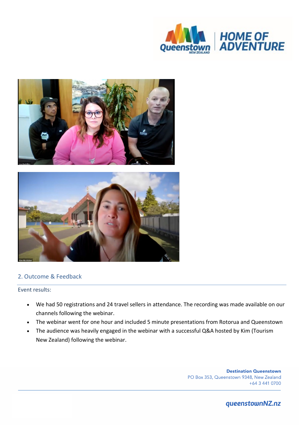





### 2. Outcome & Feedback

Event results:

- We had 50 registrations and 24 travel sellers in attendance. The recording was made available on our channels following the webinar.
- The webinar went for one hour and included 5 minute presentations from Rotorua and Queenstown
- The audience was heavily engaged in the webinar with a successful Q&A hosted by Kim (Tourism New Zealand) following the webinar.

**Destination Queenstown** PO Box 353, Queenstown 9348, New Zealand +64 3 441 0700